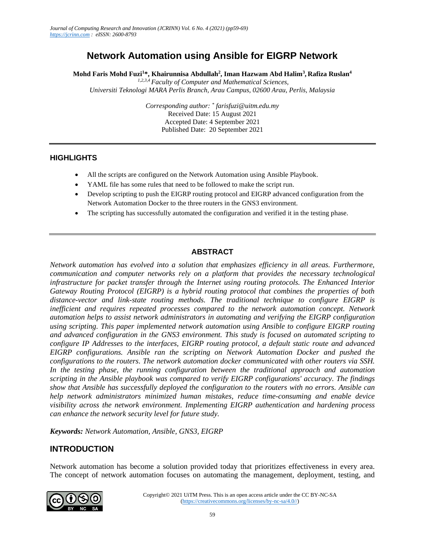# **Network Automation using Ansible for EIGRP Network**

**Mohd Faris Mohd Fuzi<sup>1</sup>\*, Khairunnisa Abdullah<sup>2</sup> , Iman Hazwam Abd Halim<sup>3</sup> , Rafiza Ruslan<sup>4</sup>** *1,2,3,4 Faculty of Computer and Mathematical Sciences, Universiti Teknologi MARA Perlis Branch, Arau Campus, 02600 Arau, Perlis, Malaysia*

> *Corresponding author: \* farisfuzi@uitm.edu.my* Received Date: 15 August 2021 Accepted Date: 4 September 2021 Published Date: 20 September 2021

#### **HIGHLIGHTS**

- All the scripts are configured on the Network Automation using Ansible Playbook.
- YAML file has some rules that need to be followed to make the script run.
- Develop scripting to push the EIGRP routing protocol and EIGRP advanced configuration from the Network Automation Docker to the three routers in the GNS3 environment.
- The scripting has successfully automated the configuration and verified it in the testing phase.

### **ABSTRACT**

*Network automation has evolved into a solution that emphasizes efficiency in all areas. Furthermore, communication and computer networks rely on a platform that provides the necessary technological infrastructure for packet transfer through the Internet using routing protocols. The Enhanced Interior Gateway Routing Protocol (EIGRP) is a hybrid routing protocol that combines the properties of both distance-vector and link-state routing methods. The traditional technique to configure EIGRP is inefficient and requires repeated processes compared to the network automation concept. Network automation helps to assist network administrators in automating and verifying the EIGRP configuration using scripting. This paper implemented network automation using Ansible to configure EIGRP routing and advanced configuration in the GNS3 environment. This study is focused on automated scripting to configure IP Addresses to the interfaces, EIGRP routing protocol, a default static route and advanced EIGRP configurations. Ansible ran the scripting on Network Automation Docker and pushed the configurations to the routers. The network automation docker communicated with other routers via SSH. In the testing phase, the running configuration between the traditional approach and automation scripting in the Ansible playbook was compared to verify EIGRP configurations' accuracy. The findings show that Ansible has successfully deployed the configuration to the routers with no errors. Ansible can help network administrators minimized human mistakes, reduce time-consuming and enable device visibility across the network environment. Implementing EIGRP authentication and hardening process can enhance the network security level for future study.*

*Keywords: Network Automation, Ansible, GNS3, EIGRP*

## **INTRODUCTION**

Network automation has become a solution provided today that prioritizes effectiveness in every area. The concept of network automation focuses on automating the management, deployment, testing, and

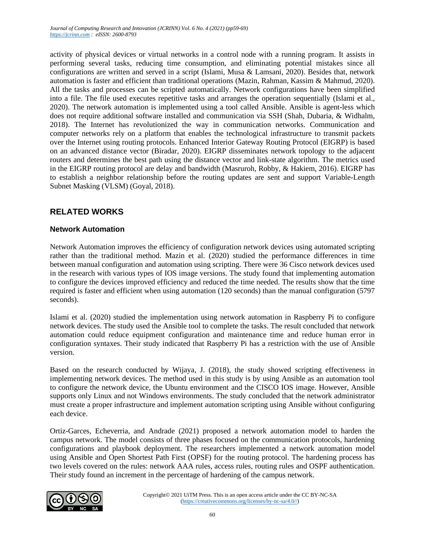activity of physical devices or virtual networks in a control node with a running program. It assists in performing several tasks, reducing time consumption, and eliminating potential mistakes since all configurations are written and served in a script (Islami, Musa & Lamsani, 2020). Besides that, network automation is faster and efficient than traditional operations (Mazin, Rahman, Kassim & Mahmud, 2020). All the tasks and processes can be scripted automatically. Network configurations have been simplified into a file. The file used executes repetitive tasks and arranges the operation sequentially (Islami et al., 2020). The network automation is implemented using a tool called Ansible. Ansible is agent-less which does not require additional software installed and communication via SSH (Shah, Dubaria, & Widhalm, 2018). The Internet has revolutionized the way in communication networks. Communication and computer networks rely on a platform that enables the technological infrastructure to transmit packets over the Internet using routing protocols. Enhanced Interior Gateway Routing Protocol (EIGRP) is based on an advanced distance vector (Biradar, 2020). EIGRP disseminates network topology to the adjacent routers and determines the best path using the distance vector and link-state algorithm. The metrics used in the EIGRP routing protocol are delay and bandwidth (Masruroh, Robby, & Hakiem, 2016). EIGRP has to establish a neighbor relationship before the routing updates are sent and support Variable-Length Subnet Masking (VLSM) (Goyal, 2018).

# **RELATED WORKS**

## **Network Automation**

Network Automation improves the efficiency of configuration network devices using automated scripting rather than the traditional method. Mazin et al. (2020) studied the performance differences in time between manual configuration and automation using scripting. There were 36 Cisco network devices used in the research with various types of IOS image versions. The study found that implementing automation to configure the devices improved efficiency and reduced the time needed. The results show that the time required is faster and efficient when using automation (120 seconds) than the manual configuration (5797 seconds).

Islami et al. (2020) studied the implementation using network automation in Raspberry Pi to configure network devices. The study used the Ansible tool to complete the tasks. The result concluded that network automation could reduce equipment configuration and maintenance time and reduce human error in configuration syntaxes. Their study indicated that Raspberry Pi has a restriction with the use of Ansible version.

Based on the research conducted by Wijaya, J. (2018), the study showed scripting effectiveness in implementing network devices. The method used in this study is by using Ansible as an automation tool to configure the network device, the Ubuntu environment and the CISCO IOS image. However, Ansible supports only Linux and not Windows environments. The study concluded that the network administrator must create a proper infrastructure and implement automation scripting using Ansible without configuring each device.

Ortiz-Garces, Echeverria, and Andrade (2021) proposed a network automation model to harden the campus network. The model consists of three phases focused on the communication protocols, hardening configurations and playbook deployment. The researchers implemented a network automation model using Ansible and Open Shortest Path First (OPSF) for the routing protocol. The hardening process has two levels covered on the rules: network AAA rules, access rules, routing rules and OSPF authentication. Their study found an increment in the percentage of hardening of the campus network.

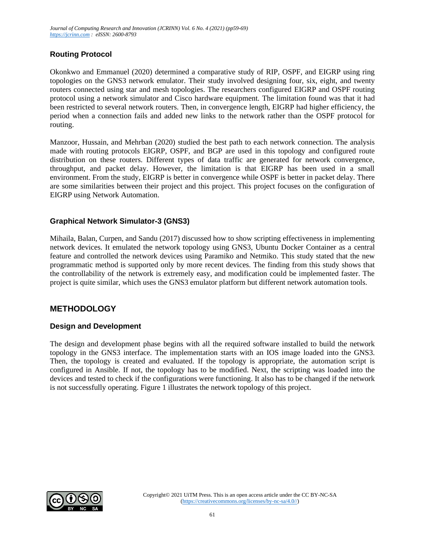## **Routing Protocol**

Okonkwo and Emmanuel (2020) determined a comparative study of RIP, OSPF, and EIGRP using ring topologies on the GNS3 network emulator. Their study involved designing four, six, eight, and twenty routers connected using star and mesh topologies. The researchers configured EIGRP and OSPF routing protocol using a network simulator and Cisco hardware equipment. The limitation found was that it had been restricted to several network routers. Then, in convergence length, EIGRP had higher efficiency, the period when a connection fails and added new links to the network rather than the OSPF protocol for routing.

Manzoor, Hussain, and Mehrban (2020) studied the best path to each network connection. The analysis made with routing protocols EIGRP, OSPF, and BGP are used in this topology and configured route distribution on these routers. Different types of data traffic are generated for network convergence, throughput, and packet delay. However, the limitation is that EIGRP has been used in a small environment. From the study, EIGRP is better in convergence while OSPF is better in packet delay. There are some similarities between their project and this project. This project focuses on the configuration of EIGRP using Network Automation.

## **Graphical Network Simulator-3 (GNS3)**

Mihaila, Balan, Curpen, and Sandu (2017) discussed how to show scripting effectiveness in implementing network devices. It emulated the network topology using GNS3, Ubuntu Docker Container as a central feature and controlled the network devices using Paramiko and Netmiko. This study stated that the new programmatic method is supported only by more recent devices. The finding from this study shows that the controllability of the network is extremely easy, and modification could be implemented faster. The project is quite similar, which uses the GNS3 emulator platform but different network automation tools.

## **METHODOLOGY**

### **Design and Development**

The design and development phase begins with all the required software installed to build the network topology in the GNS3 interface. The implementation starts with an IOS image loaded into the GNS3. Then, the topology is created and evaluated. If the topology is appropriate, the automation script is configured in Ansible. If not, the topology has to be modified. Next, the scripting was loaded into the devices and tested to check if the configurations were functioning. It also has to be changed if the network is not successfully operating. Figure 1 illustrates the network topology of this project.

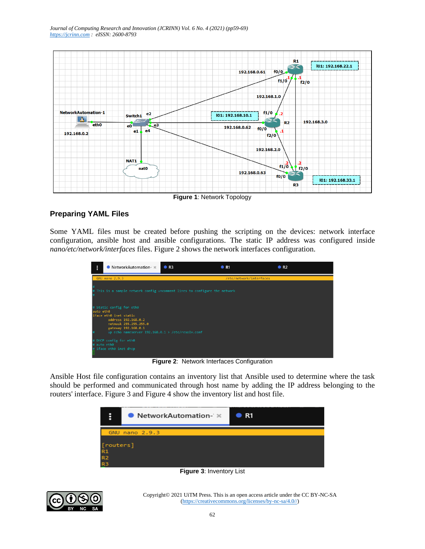

**Figure 1**: Network Topology

## **Preparing YAML Files**

Some YAML files must be created before pushing the scripting on the devices: network interface configuration, ansible host and ansible configurations. The static IP address was configured inside *nano/etc/network/interfaces* files. Figure 2 shows the network interfaces configuration.

| ÷           | $\bullet$ NetworkAutomation- $\cdot \times$                                                                                                                                    | R <sub>3</sub> | $\bullet$ R1            | R <sub>2</sub> |  |
|-------------|--------------------------------------------------------------------------------------------------------------------------------------------------------------------------------|----------------|-------------------------|----------------|--|
|             | <b>GNU nano 2.9.3</b>                                                                                                                                                          |                | /etc/network/interfaces |                |  |
|             | # This is a sample network config uncomment lines to configure the network                                                                                                     |                |                         |                |  |
| auto eth0   | # Static config for eth0<br>iface eth0 inet static<br>address 192.168.0.2<br>netmask 255.255.255.0<br>gateway 192.168.0.1<br>up echo nameserver 192.168.0.1 > /etc/resolv.conf |                |                         |                |  |
| # auto eth0 | # DHCP config for eth0<br># iface eth0 inet dhcp                                                                                                                               |                |                         |                |  |

**Figure 2**: Network Interfaces Configuration

Ansible Host file configuration contains an inventory list that Ansible used to determine where the task should be performed and communicated through host name by adding the IP address belonging to the routers' interface. Figure 3 and Figure 4 show the inventory list and host file.

| H                                                   | • NetworkAutomation- $*$ | $\bullet$ R1 |
|-----------------------------------------------------|--------------------------|--------------|
| [routers]<br>R1<br>R <sub>2</sub><br>R <sub>3</sub> | GNU nano 2.9.3           |              |

**Figure 3**: Inventory List

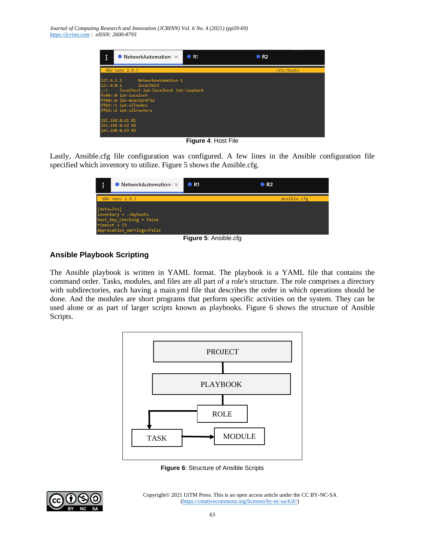*Journal of Computing Research and Innovation (JCRINN) Vol. 6 No. 4 (2021) (pp59-69) [https://jcrinn.com](https://jcrinn.com/) : eISSN: 2600-8793*

| i<br>$\bullet$ NetworkAutomation- $\mathbb X$                                                                                                                                                                       | $\bullet$ R1 | R <sub>2</sub> |            |
|---------------------------------------------------------------------------------------------------------------------------------------------------------------------------------------------------------------------|--------------|----------------|------------|
| GNU nano 2.9.3                                                                                                                                                                                                      |              |                | /etc/hosts |
| NetworkAutomation-1<br>127.0.1.1<br>localhost<br>127.0.0.1<br>localhost ip6-localhost ip6-loopback<br>$\cdots$<br>fe00::0 ip6-localnet<br>ff00::0 ip6-mcastprefix<br>ff02::1 ip6-allnodes<br>ff02::2 ip6-allrouters |              |                |            |
| 192.168.0.61 R1<br>192.168.0.62 R2                                                                                                                                                                                  |              |                |            |
| 192.168.0.63 R3                                                                                                                                                                                                     |              |                |            |
|                                                                                                                                                                                                                     |              |                |            |

**Figure 4**: Host File

Lastly, Ansible.cfg file configuration was configured. A few lines in the Ansible configuration file specified which inventory to utilize. Figure 5 shows the Ansible.cfg.



**Figure 5**: Ansible.cfg

### **Ansible Playbook Scripting**

The Ansible playbook is written in YAML format. The playbook is a YAML file that contains the command order. Tasks, modules, and files are all part of a role's structure. The role comprises a directory with subdirectories, each having a main.yml file that describes the order in which operations should be done. And the modules are short programs that perform specific activities on the system. They can be used alone or as part of larger scripts known as playbooks. Figure 6 shows the structure of Ansible Scripts.



**Figure 6**: Structure of Ansible Scripts

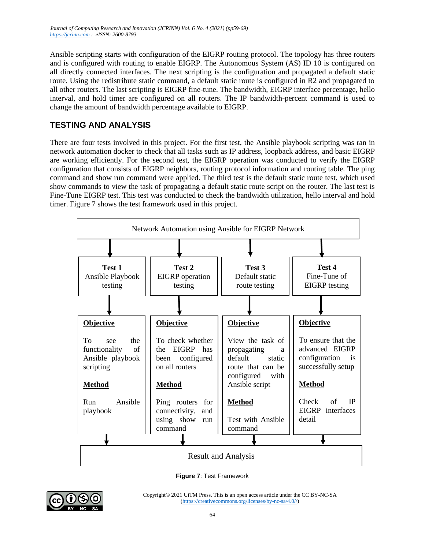Ansible scripting starts with configuration of the EIGRP routing protocol. The topology has three routers and is configured with routing to enable EIGRP. The Autonomous System (AS) ID 10 is configured on all directly connected interfaces. The next scripting is the configuration and propagated a default static route. Using the redistribute static command, a default static route is configured in R2 and propagated to all other routers. The last scripting is EIGRP fine-tune. The bandwidth, EIGRP interface percentage, hello interval, and hold timer are configured on all routers. The IP bandwidth-percent command is used to change the amount of bandwidth percentage available to EIGRP.

# **TESTING AND ANALYSIS**

There are four tests involved in this project. For the first test, the Ansible playbook scripting was ran in network automation docker to check that all tasks such as IP address, loopback address, and basic EIGRP are working efficiently. For the second test, the EIGRP operation was conducted to verify the EIGRP configuration that consists of EIGRP neighbors, routing protocol information and routing table. The ping command and show run command were applied. The third test is the default static route test, which used show commands to view the task of propagating a default static route script on the router. The last test is Fine-Tune EIGRP test. This test was conducted to check the bandwidth utilization, hello interval and hold timer. Figure 7 shows the test framework used in this project.



**Figure 7**: Test Framework

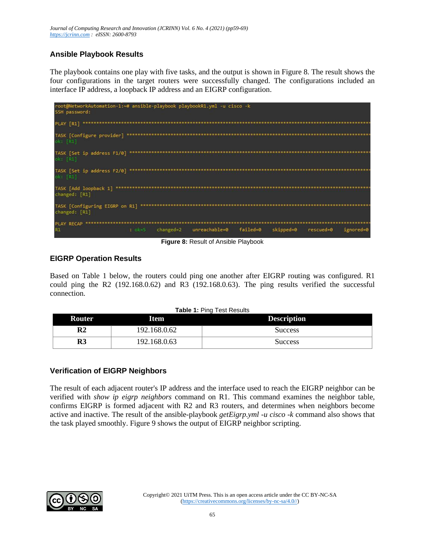# **Ansible Playbook Results**

The playbook contains one play with five tasks, and the output is shown in Figure 8. The result shows the four configurations in the target routers were successfully changed. The configurations included an interface IP address, a loopback IP address and an EIGRP configuration.



**Figure 8:** Result of Ansible Playbook

### **EIGRP Operation Results**

Based on Table 1 below, the routers could ping one another after EIGRP routing was configured. R1 could ping the R2 (192.168.0.62) and R3 (192.168.0.63). The ping results verified the successful connection.

| <b>Table 1: Ping Test Results</b> |              |                    |  |  |  |
|-----------------------------------|--------------|--------------------|--|--|--|
| Router                            | Item         | <b>Description</b> |  |  |  |
| R2                                | 192.168.0.62 | <b>Success</b>     |  |  |  |
| R3                                | 192.168.0.63 | <b>Success</b>     |  |  |  |

### **Verification of EIGRP Neighbors**

The result of each adjacent router's IP address and the interface used to reach the EIGRP neighbor can be verified with *show ip eigrp neighbors* command on R1. This command examines the neighbor table, confirms EIGRP is formed adjacent with R2 and R3 routers, and determines when neighbors become active and inactive. The result of the ansible-playbook *getEigrp.yml -u cisco -k* command also shows that the task played smoothly. Figure 9 shows the output of EIGRP neighbor scripting.

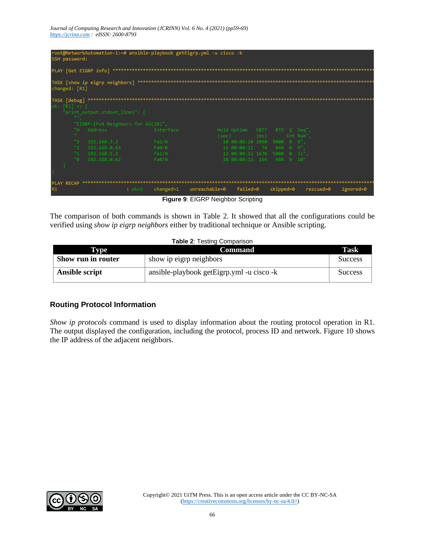*Journal of Computing Research and Innovation (JCRINN) Vol. 6 No. 4 (2021) (pp59-69) [https://jcrinn.com](https://jcrinn.com/) : eISSN: 2600-8793*

|            | SSH password:   |                                    |                |           | root@NetworkAutomation-1:~# ansible-playbook getEigrp.yml -u cisco -k                                                                                                                                                                                                                                                                                                           |                                                        |           |           |           |
|------------|-----------------|------------------------------------|----------------|-----------|---------------------------------------------------------------------------------------------------------------------------------------------------------------------------------------------------------------------------------------------------------------------------------------------------------------------------------------------------------------------------------|--------------------------------------------------------|-----------|-----------|-----------|
|            |                 |                                    |                |           | $PLAY$ $\overline{6}$ $\overline{e}$ $\overline{t}$ $\overline{ap}$ $\overline{a}$ $\overline{r}$ $\overline{a}$ $\overline{r}$ $\overline{r}$ $\overline{r}$ $\overline{r}$ $\overline{r}$ $\overline{r}$ $\overline{r}$ $\overline{r}$ $\overline{r}$ $\overline{r}$ $\overline{r}$ $\overline{r}$ $\overline{r}$ $\overline{r}$ $\overline{r}$ $\overline{r}$ $\overline{r}$ |                                                        |           |           |           |
|            | changed: [R1]   | TASK [show ip eigrp neighbors]     |                |           |                                                                                                                                                                                                                                                                                                                                                                                 |                                                        |           |           |           |
|            | ok: $[R1]$ => { | "print output.stdout lines": [     |                |           |                                                                                                                                                                                                                                                                                                                                                                                 |                                                        |           |           |           |
|            |                 | "EIGRP-IPv4 Neighbors for AS(10)", |                |           |                                                                                                                                                                                                                                                                                                                                                                                 |                                                        |           |           |           |
|            | <b>SECTION</b>  | "H Address                         |                | Interface |                                                                                                                                                                                                                                                                                                                                                                                 | Hold Uptime SRTT RTO Q Seq",<br>$(sec)$ (ms) Cnt Num", |           |           |           |
|            | "3.             | 192.168.3.2                        |                | Fa2/0     |                                                                                                                                                                                                                                                                                                                                                                                 | 10 00:08:10 1090 5000 0 8",                            |           |           |           |
|            | "2"             | 192.168.0.63                       | a Fa0∕0 and Fa |           |                                                                                                                                                                                                                                                                                                                                                                                 | 11 00:08:11 74 444 0 9",                               |           |           |           |
|            |                 | $"1 \quad 192.168.1.2"$            | $F = 1/0$      |           |                                                                                                                                                                                                                                                                                                                                                                                 | 12 00:08:11 1676 5000 0 11",                           |           |           |           |
|            |                 | "0 192.168.0.62"                   |                | Fa0/0     |                                                                                                                                                                                                                                                                                                                                                                                 | 10 00:08:11 164 984 0 10"                              |           |           |           |
|            |                 |                                    |                |           |                                                                                                                                                                                                                                                                                                                                                                                 |                                                        |           |           |           |
| PLAY RECAP |                 |                                    |                |           |                                                                                                                                                                                                                                                                                                                                                                                 |                                                        |           |           |           |
| R1         |                 |                                    | $: ok=2$       | changed=1 | unreachable=0 failed=0                                                                                                                                                                                                                                                                                                                                                          |                                                        | skipped=0 | rescued=0 | ignored=0 |
|            |                 |                                    |                |           | Eigure 0: EICDD Noighbor Corinting                                                                                                                                                                                                                                                                                                                                              |                                                        |           |           |           |

**Figure 9**: EIGRP Neighbor Scripting

The comparison of both commands is shown in Table 2. It showed that all the configurations could be verified using *show ip eigrp neighbors* either by traditional technique or Ansible scripting.

| Table 2: Testing Comparison |
|-----------------------------|
|-----------------------------|

| I vpe              | <b>Command</b>                            | Task           |
|--------------------|-------------------------------------------|----------------|
| Show run in router | show ip eigrp neighbors                   | <b>Success</b> |
| Ansible script     | ansible-playbook getEigrp.yml -u cisco -k | <b>Success</b> |

### **Routing Protocol Information**

*Show ip protocols* command is used to display information about the routing protocol operation in R1. The output displayed the configuration, including the protocol, process ID and network. Figure 10 shows the IP address of the adjacent neighbors.

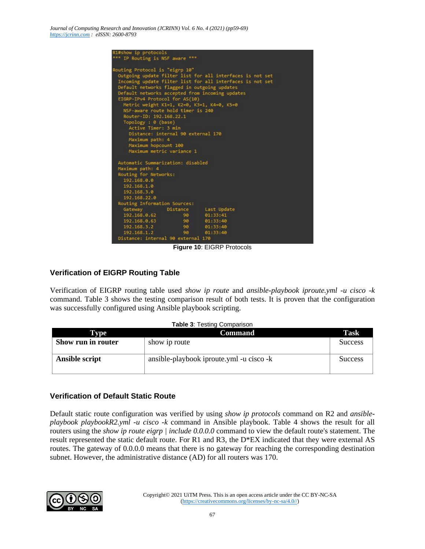

**Figure 10**: EIGRP Protocols

## **Verification of EIGRP Routing Table**

Verification of EIGRP routing table used *show ip route* and *ansible-playbook iproute.yml -u cisco -k*  command. Table 3 shows the testing comparison result of both tests. It is proven that the configuration was successfully configured using Ansible playbook scripting.

| Table 3: Testing Comparison |
|-----------------------------|
|-----------------------------|

| I vpe              | Command                                    | Task           |
|--------------------|--------------------------------------------|----------------|
| Show run in router | show ip route                              | <b>Success</b> |
|                    |                                            |                |
| Ansible script     | ansible-playbook iproute yml - u cisco - k | <b>Success</b> |
|                    |                                            |                |

### **Verification of Default Static Route**

Default static route configuration was verified by using *show ip protocols* command on R2 and *ansibleplaybook playbookR2.yml -u cisco -k* command in Ansible playbook. Table 4 shows the result for all routers using the *show ip route eigrp | include 0.0.0.0* command to view the default route's statement. The result represented the static default route. For R1 and R3, the D\*EX indicated that they were external AS routes. The gateway of 0.0.0.0 means that there is no gateway for reaching the corresponding destination subnet. However, the administrative distance (AD) for all routers was 170.

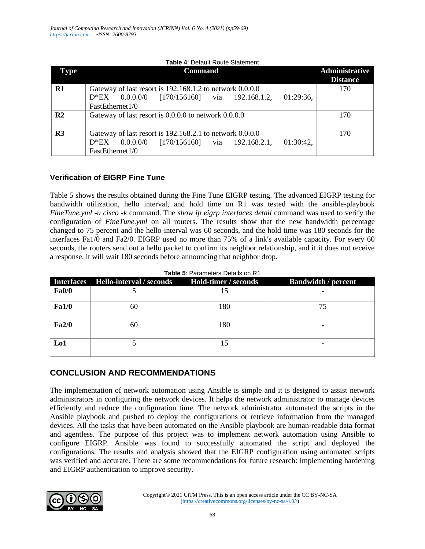| Type           | <b>Command</b>                                                           | Administrative  |
|----------------|--------------------------------------------------------------------------|-----------------|
|                |                                                                          | <b>Distance</b> |
| $\mathbf{R}1$  | Gateway of last resort is 192.168.1.2 to network 0.0.0.0                 | 170             |
|                | 01:29:36,<br>$0.0.0.0/0$ [170/156160] via 192.168.1.2,<br>$D*EX$         |                 |
|                | FastEthernet1/0                                                          |                 |
| R <sub>2</sub> | Gateway of last resort is 0.0.0.0 to network 0.0.0.0                     | 170             |
| R <sub>3</sub> | Gateway of last resort is 192.168.2.1 to network 0.0.0.0                 | 170             |
|                | $01:30:42$ ,<br>$0.0.0.0\%$<br>$[170/156160]$ via 192.168.2.1,<br>$D*EX$ |                 |
|                | FastEthernet1/0                                                          |                 |

### **Table 4**: Default Route Statement

### **Verification of EIGRP Fine Tune**

Table 5 shows the results obtained during the Fine Tune EIGRP testing. The advanced EIGRP testing for bandwidth utilization, hello interval, and hold time on R1 was tested with the ansible-playbook *FineTune.yml -u cisco -k* command. The *show ip eigrp interfaces detail* command was used to verify the configuration of *FineTune.yml* on all routers. The results show that the new bandwidth percentage changed to 75 percent and the hello-interval was 60 seconds, and the hold time was 180 seconds for the interfaces Fa1/0 and Fa2/0. EIGRP used no more than 75% of a link's available capacity. For every 60 seconds, the routers send out a hello packet to confirm its neighbor relationship, and if it does not receive a response, it will wait 180 seconds before announcing that neighbor drop.

|                  | Interfaces Hello-interval / seconds | Hold-timer / seconds | <b>Bandwidth</b> / percent |
|------------------|-------------------------------------|----------------------|----------------------------|
| Fa0/0            |                                     |                      |                            |
| Fa1/0            | 60                                  | 180                  | 75                         |
| Fa2/0            | 60                                  | 180                  |                            |
| L <sub>0</sub> 1 |                                     |                      |                            |

**Table 5**: Parameters Details on R1

## **CONCLUSION AND RECOMMENDATIONS**

The implementation of network automation using Ansible is simple and it is designed to assist network administrators in configuring the network devices. It helps the network administrator to manage devices efficiently and reduce the configuration time. The network administrator automated the scripts in the Ansible playbook and pushed to deploy the configurations or retrieve information from the managed devices. All the tasks that have been automated on the Ansible playbook are human-readable data format and agentless. The purpose of this project was to implement network automation using Ansible to configure EIGRP. Ansible was found to successfully automated the script and deployed the configurations. The results and analysis showed that the EIGRP configuration using automated scripts was verified and accurate. There are some recommendations for future research: implementing hardening and EIGRP authentication to improve security.